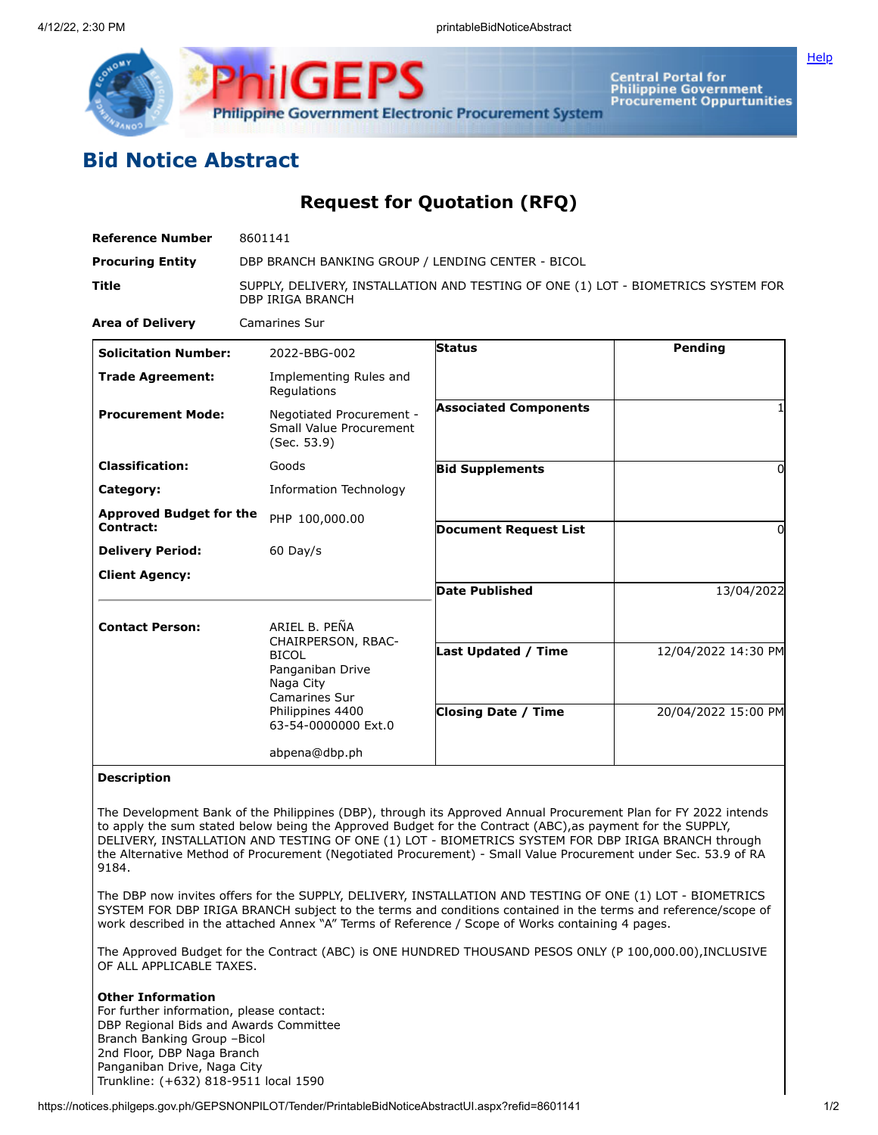

**Philippine Government Electronic Procurement System** 

Central Portal for<br>Philippine Government<br>Procurement Oppurtunities

## **Bid Notice Abstract**

## **Request for Quotation (RFQ)**

| <b>Reference Number</b>                     | 8601141                                                                                                                                          |                                                          |                                            |
|---------------------------------------------|--------------------------------------------------------------------------------------------------------------------------------------------------|----------------------------------------------------------|--------------------------------------------|
| <b>Procuring Entity</b>                     | DBP BRANCH BANKING GROUP / LENDING CENTER - BICOL                                                                                                |                                                          |                                            |
| <b>Title</b>                                | SUPPLY, DELIVERY, INSTALLATION AND TESTING OF ONE (1) LOT - BIOMETRICS SYSTEM FOR<br><b>DBP IRIGA BRANCH</b>                                     |                                                          |                                            |
| <b>Area of Delivery</b>                     | <b>Camarines Sur</b>                                                                                                                             |                                                          |                                            |
| <b>Solicitation Number:</b>                 | 2022-BBG-002                                                                                                                                     | <b>Status</b>                                            | Pending                                    |
| <b>Trade Agreement:</b>                     | Implementing Rules and<br>Regulations                                                                                                            |                                                          |                                            |
| <b>Procurement Mode:</b>                    | Negotiated Procurement -<br>Small Value Procurement<br>(Sec. 53.9)                                                                               | <b>Associated Components</b>                             |                                            |
| <b>Classification:</b>                      | Goods                                                                                                                                            | <b>Bid Supplements</b>                                   | $\Omega$                                   |
| Category:                                   | Information Technology                                                                                                                           |                                                          |                                            |
| <b>Approved Budget for the</b><br>Contract: | PHP 100,000.00                                                                                                                                   | <b>Document Request List</b>                             | $\Omega$                                   |
| <b>Delivery Period:</b>                     | $60$ Day/s                                                                                                                                       |                                                          |                                            |
| <b>Client Agency:</b>                       |                                                                                                                                                  |                                                          |                                            |
|                                             |                                                                                                                                                  | <b>Date Published</b>                                    | 13/04/2022                                 |
| <b>Contact Person:</b>                      | ARIEL B. PEÑA<br>CHAIRPERSON, RBAC-<br><b>BICOL</b><br>Panganiban Drive<br>Naga City<br>Camarines Sur<br>Philippines 4400<br>63-54-0000000 Ext.0 | <b>Last Updated / Time</b><br><b>Closing Date / Time</b> | 12/04/2022 14:30 PM<br>20/04/2022 15:00 PM |
|                                             | abpena@dbp.ph                                                                                                                                    |                                                          |                                            |

## **Description**

The Development Bank of the Philippines (DBP), through its Approved Annual Procurement Plan for FY 2022 intends to apply the sum stated below being the Approved Budget for the Contract (ABC), as payment for the SUPPLY, DELIVERY, INSTALLATION AND TESTING OF ONE (1) LOT - BIOMETRICS SYSTEM FOR DBP IRIGA BRANCH through the Alternative Method of Procurement (Negotiated Procurement) - Small Value Procurement under Sec. 53.9 of RA 9184.

The DBP now invites offers for the SUPPLY, DELIVERY, INSTALLATION AND TESTING OF ONE (1) LOT - BIOMETRICS SYSTEM FOR DBP IRIGA BRANCH subject to the terms and conditions contained in the terms and reference/scope of work described in the attached Annex "A" Terms of Reference / Scope of Works containing 4 pages.

The Approved Budget for the Contract (ABC) is ONE HUNDRED THOUSAND PESOS ONLY (P 100,000.00),INCLUSIVE OF ALL APPLICABLE TAXES.

## **Other Information**

For further information, please contact: DBP Regional Bids and Awards Committee Branch Banking Group –Bicol 2nd Floor, DBP Naga Branch Panganiban Drive, Naga City Trunkline: (+632) 818-9511 local 1590